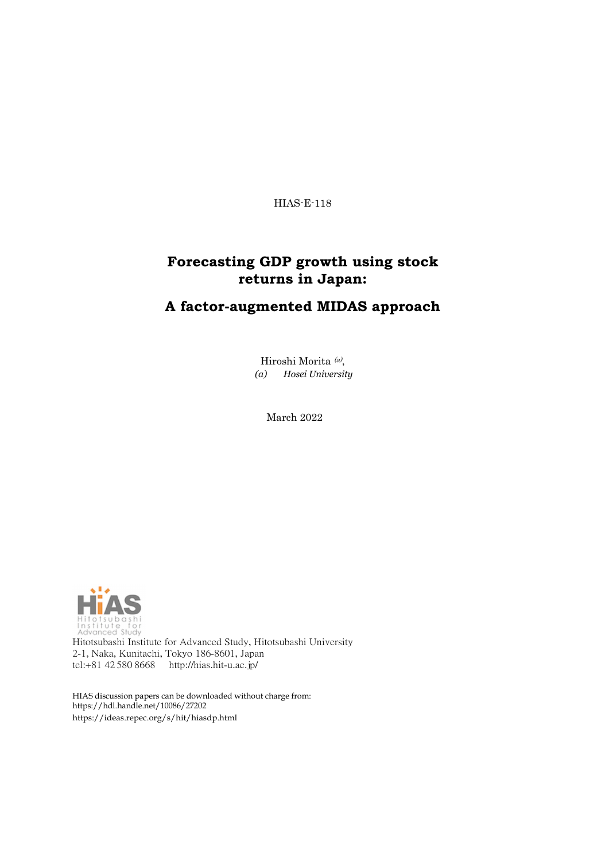HIAS-E-118

### **Forecasting GDP growth using stock returns in Japan:**

### **A factor-augmented MIDAS approach**

Hiroshi Morita (a), *(a) Hosei University*

March 2022



Hitotsubashi Institute for Advanced Study, Hitotsubashi University 2-1, Naka, Kunitachi, Tokyo 186-8601, Japan tel:+81 42 580 8668 <http://hias.hit-u.ac.jp/>

HIAS discussion papers can be downloaded without charge from: [https://hdl.handle.net/10086/27202](http://hdl.handle.net/10086/27202) https://ideas.repec.org/s/hit/hiasdp.html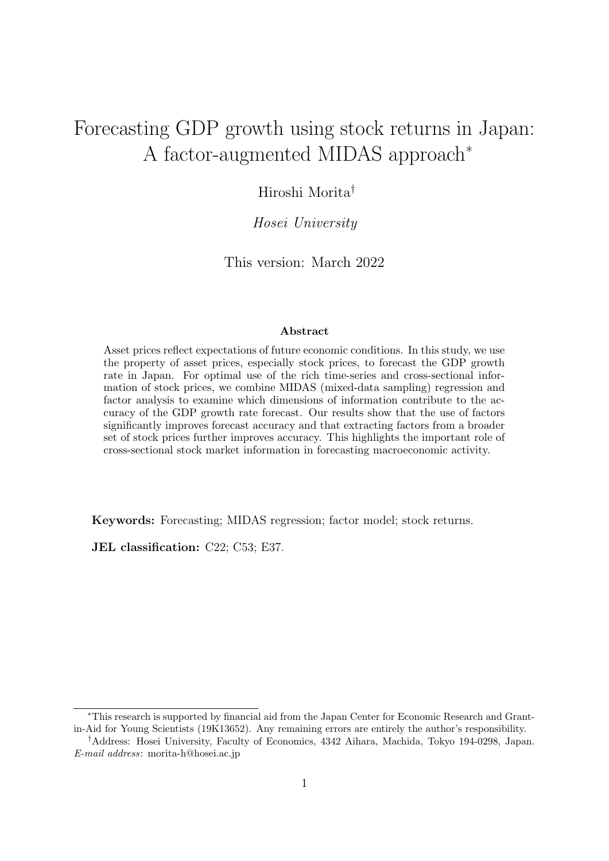# Forecasting GDP growth using stock returns in Japan: A factor-augmented MIDAS approach<sup>∗</sup>

### Hiroshi Morita†

#### *Hosei University*

This version: March 2022

#### **Abstract**

Asset prices reflect expectations of future economic conditions. In this study, we use the property of asset prices, especially stock prices, to forecast the GDP growth rate in Japan. For optimal use of the rich time-series and cross-sectional information of stock prices, we combine MIDAS (mixed-data sampling) regression and factor analysis to examine which dimensions of information contribute to the accuracy of the GDP growth rate forecast. Our results show that the use of factors significantly improves forecast accuracy and that extracting factors from a broader set of stock prices further improves accuracy. This highlights the important role of cross-sectional stock market information in forecasting macroeconomic activity.

**Keywords:** Forecasting; MIDAS regression; factor model; stock returns.

**JEL classification:** C22; C53; E37.

<sup>∗</sup>This research is supported by financial aid from the Japan Center for Economic Research and Grantin-Aid for Young Scientists (19K13652). Any remaining errors are entirely the author's responsibility.

<sup>†</sup>Address: Hosei University, Faculty of Economics, 4342 Aihara, Machida, Tokyo 194-0298, Japan. *E-mail address*: morita-h@hosei.ac.jp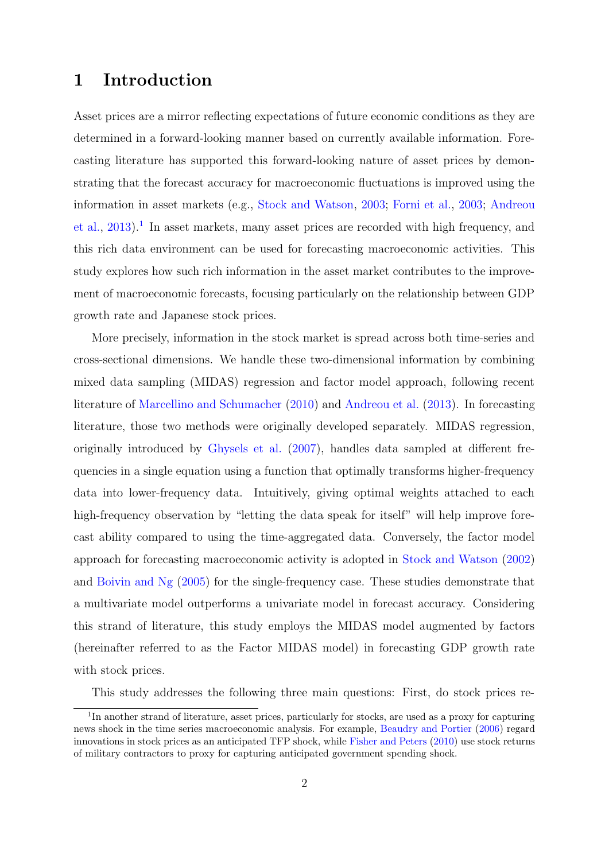### **1 Introduction**

Asset prices are a mirror reflecting expectations of future economic conditions as they are determined in a forward-looking manner based on currently available information. Forecasting literature has supported this forward-looking nature of asset prices by demonstrating that the forecast accuracy for macroeconomic fluctuations is improved using the information in asset markets (e.g., [Stock and Watson,](#page-20-0) [2003;](#page-20-0) [Forni et al.](#page-20-1), [2003;](#page-20-1) [Andreou](#page-19-0) [et al.,](#page-19-0)  $2013$ ).<sup>[1](#page-2-0)</sup> In asset markets, many asset prices are recorded with high frequency, and this rich data environment can be used for forecasting macroeconomic activities. This study explores how such rich information in the asset market contributes to the improvement of macroeconomic forecasts, focusing particularly on the relationship between GDP growth rate and Japanese stock prices.

More precisely, information in the stock market is spread across both time-series and cross-sectional dimensions. We handle these two-dimensional information by combining mixed data sampling (MIDAS) regression and factor model approach, following recent literature of [Marcellino and Schumacher](#page-20-2) ([2010](#page-20-2)) and [Andreou et al.](#page-19-0) ([2013](#page-19-0)). In forecasting literature, those two methods were originally developed separately. MIDAS regression, originally introduced by [Ghysels et al.](#page-20-3) ([2007](#page-20-3)), handles data sampled at different frequencies in a single equation using a function that optimally transforms higher-frequency data into lower-frequency data. Intuitively, giving optimal weights attached to each high-frequency observation by "letting the data speak for itself" will help improve forecast ability compared to using the time-aggregated data. Conversely, the factor model approach for forecasting macroeconomic activity is adopted in [Stock and Watson](#page-20-4) [\(2002\)](#page-20-4) and [Boivin and Ng](#page-19-1) ([2005\)](#page-19-1) for the single-frequency case. These studies demonstrate that a multivariate model outperforms a univariate model in forecast accuracy. Considering this strand of literature, this study employs the MIDAS model augmented by factors (hereinafter referred to as the Factor MIDAS model) in forecasting GDP growth rate with stock prices.

This study addresses the following three main questions: First, do stock prices re-

<span id="page-2-0"></span><sup>&</sup>lt;sup>1</sup>In another strand of literature, asset prices, particularly for stocks, are used as a proxy for capturing news shock in the time series macroeconomic analysis. For example, [Beaudry and Portier](#page-19-2) ([2006](#page-19-2)) regard innovations in stock prices as an anticipated TFP shock, while [Fisher and Peters](#page-20-5) ([2010\)](#page-20-5) use stock returns of military contractors to proxy for capturing anticipated government spending shock.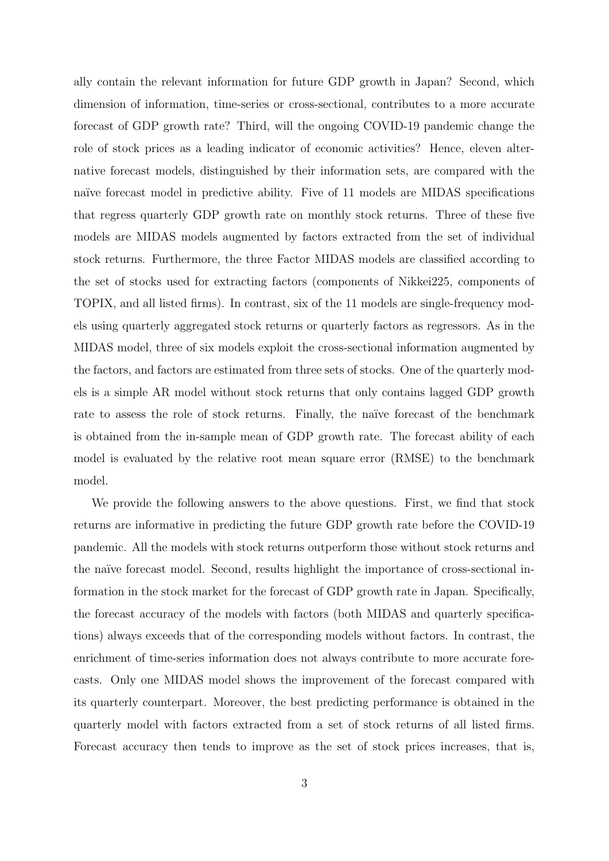ally contain the relevant information for future GDP growth in Japan? Second, which dimension of information, time-series or cross-sectional, contributes to a more accurate forecast of GDP growth rate? Third, will the ongoing COVID-19 pandemic change the role of stock prices as a leading indicator of economic activities? Hence, eleven alternative forecast models, distinguished by their information sets, are compared with the naïve forecast model in predictive ability. Five of 11 models are MIDAS specifications that regress quarterly GDP growth rate on monthly stock returns. Three of these five models are MIDAS models augmented by factors extracted from the set of individual stock returns. Furthermore, the three Factor MIDAS models are classified according to the set of stocks used for extracting factors (components of Nikkei225, components of TOPIX, and all listed firms). In contrast, six of the 11 models are single-frequency models using quarterly aggregated stock returns or quarterly factors as regressors. As in the MIDAS model, three of six models exploit the cross-sectional information augmented by the factors, and factors are estimated from three sets of stocks. One of the quarterly models is a simple AR model without stock returns that only contains lagged GDP growth rate to assess the role of stock returns. Finally, the naïve forecast of the benchmark is obtained from the in-sample mean of GDP growth rate. The forecast ability of each model is evaluated by the relative root mean square error (RMSE) to the benchmark model.

We provide the following answers to the above questions. First, we find that stock returns are informative in predicting the future GDP growth rate before the COVID-19 pandemic. All the models with stock returns outperform those without stock returns and the naïve forecast model. Second, results highlight the importance of cross-sectional information in the stock market for the forecast of GDP growth rate in Japan. Specifically, the forecast accuracy of the models with factors (both MIDAS and quarterly specifications) always exceeds that of the corresponding models without factors. In contrast, the enrichment of time-series information does not always contribute to more accurate forecasts. Only one MIDAS model shows the improvement of the forecast compared with its quarterly counterpart. Moreover, the best predicting performance is obtained in the quarterly model with factors extracted from a set of stock returns of all listed firms. Forecast accuracy then tends to improve as the set of stock prices increases, that is,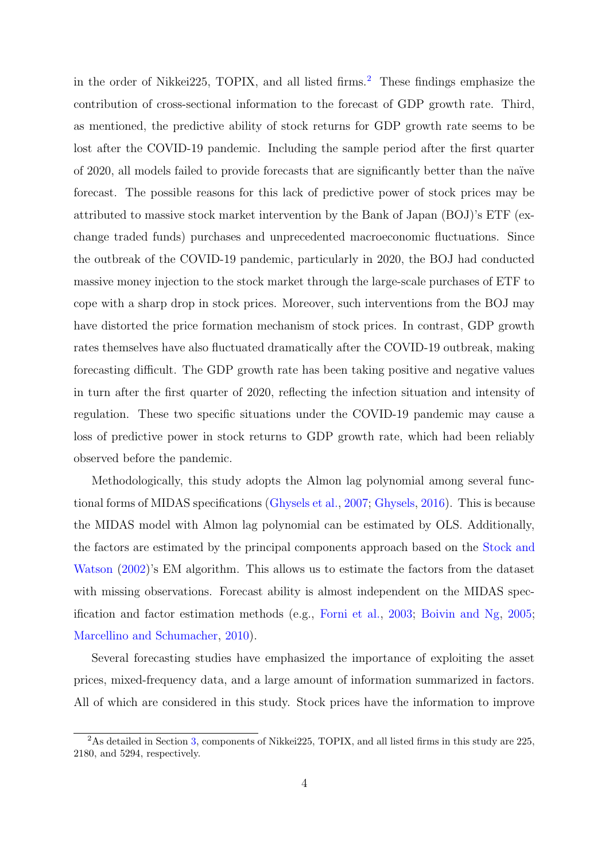in the order of Nikkei[2](#page-4-0)25, TOPIX, and all listed firms.<sup>2</sup> These findings emphasize the contribution of cross-sectional information to the forecast of GDP growth rate. Third, as mentioned, the predictive ability of stock returns for GDP growth rate seems to be lost after the COVID-19 pandemic. Including the sample period after the first quarter of 2020, all models failed to provide forecasts that are significantly better than the na¨ıve forecast. The possible reasons for this lack of predictive power of stock prices may be attributed to massive stock market intervention by the Bank of Japan (BOJ)'s ETF (exchange traded funds) purchases and unprecedented macroeconomic fluctuations. Since the outbreak of the COVID-19 pandemic, particularly in 2020, the BOJ had conducted massive money injection to the stock market through the large-scale purchases of ETF to cope with a sharp drop in stock prices. Moreover, such interventions from the BOJ may have distorted the price formation mechanism of stock prices. In contrast, GDP growth rates themselves have also fluctuated dramatically after the COVID-19 outbreak, making forecasting difficult. The GDP growth rate has been taking positive and negative values in turn after the first quarter of 2020, reflecting the infection situation and intensity of regulation. These two specific situations under the COVID-19 pandemic may cause a loss of predictive power in stock returns to GDP growth rate, which had been reliably observed before the pandemic.

Methodologically, this study adopts the Almon lag polynomial among several functional forms of MIDAS specifications ([Ghysels et al.,](#page-20-3) [2007;](#page-20-3) [Ghysels,](#page-20-6) [2016](#page-20-6)). This is because the MIDAS model with Almon lag polynomial can be estimated by OLS. Additionally, the factors are estimated by the principal components approach based on the [Stock and](#page-20-4) [Watson](#page-20-4) [\(2002\)](#page-20-4)'s EM algorithm. This allows us to estimate the factors from the dataset with missing observations. Forecast ability is almost independent on the MIDAS specification and factor estimation methods (e.g., [Forni et al.,](#page-20-1) [2003](#page-20-1); [Boivin and Ng](#page-19-1), [2005](#page-19-1); [Marcellino and Schumacher](#page-20-2), [2010\)](#page-20-2).

Several forecasting studies have emphasized the importance of exploiting the asset prices, mixed-frequency data, and a large amount of information summarized in factors. All of which are considered in this study. Stock prices have the information to improve

<span id="page-4-0"></span><sup>&</sup>lt;sup>2</sup>As detailed in Section [3,](#page-9-0) components of Nikkei225, TOPIX, and all listed firms in this study are 225, 2180, and 5294, respectively.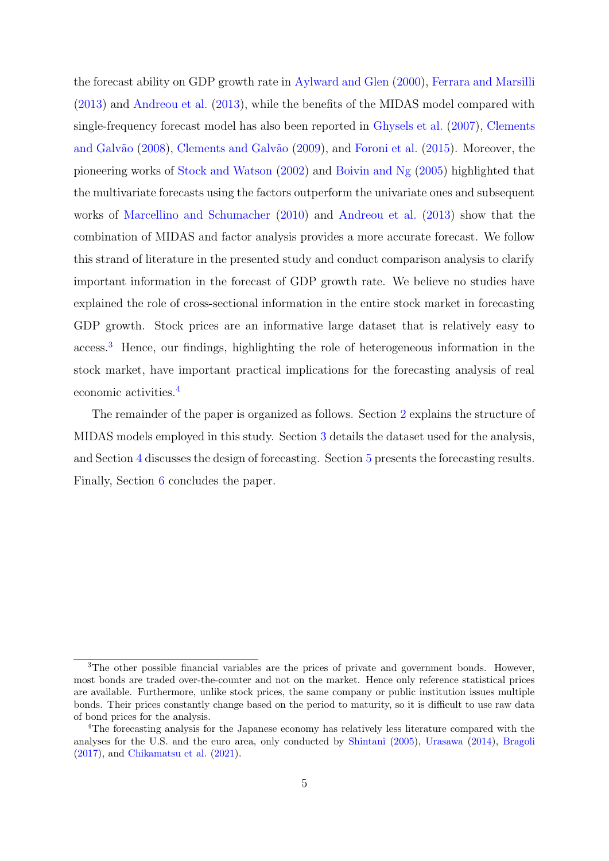the forecast ability on GDP growth rate in [Aylward and Glen](#page-19-3) ([2000](#page-19-3)), [Ferrara and Marsilli](#page-19-4) ([2013\)](#page-19-4) and [Andreou et al.](#page-19-0) [\(2013\)](#page-19-0), while the benefits of the MIDAS model compared with single-frequency forecast model has also been reported in [Ghysels et al.](#page-20-3) [\(2007\)](#page-20-3), [Clements](#page-19-5) and Galvão [\(2008\)](#page-19-5), Clements and Galvão [\(2009](#page-19-6)), and [Foroni et al.](#page-20-7) ([2015\)](#page-20-7). Moreover, the pioneering works of [Stock and Watson](#page-20-4) [\(2002\)](#page-20-4) and [Boivin and Ng](#page-19-1) ([2005](#page-19-1)) highlighted that the multivariate forecasts using the factors outperform the univariate ones and subsequent works of [Marcellino and Schumacher](#page-20-2) [\(2010\)](#page-20-2) and [Andreou et al.](#page-19-0) [\(2013\)](#page-19-0) show that the combination of MIDAS and factor analysis provides a more accurate forecast. We follow this strand of literature in the presented study and conduct comparison analysis to clarify important information in the forecast of GDP growth rate. We believe no studies have explained the role of cross-sectional information in the entire stock market in forecasting GDP growth. Stock prices are an informative large dataset that is relatively easy to access.[3](#page-5-0) Hence, our findings, highlighting the role of heterogeneous information in the stock market, have important practical implications for the forecasting analysis of real economic activities.[4](#page-5-1)

The remainder of the paper is organized as follows. Section [2](#page-6-0) explains the structure of MIDAS models employed in this study. Section [3](#page-9-0) details the dataset used for the analysis, and Section [4](#page-11-0) discusses the design of forecasting. Section [5](#page-12-0) presents the forecasting results. Finally, Section [6](#page-18-0) concludes the paper.

<span id="page-5-0"></span><sup>&</sup>lt;sup>3</sup>The other possible financial variables are the prices of private and government bonds. However, most bonds are traded over-the-counter and not on the market. Hence only reference statistical prices are available. Furthermore, unlike stock prices, the same company or public institution issues multiple bonds. Their prices constantly change based on the period to maturity, so it is difficult to use raw data of bond prices for the analysis.

<span id="page-5-1"></span><sup>4</sup>The forecasting analysis for the Japanese economy has relatively less literature compared with the analyses for the U.S. and the euro area, only conducted by [Shintani](#page-20-8) [\(2005](#page-20-8)), [Urasawa](#page-21-0) ([2014\)](#page-21-0), [Bragoli](#page-19-7) ([2017\)](#page-19-7), and [Chikamatsu et al.](#page-19-8) ([2021\)](#page-19-8).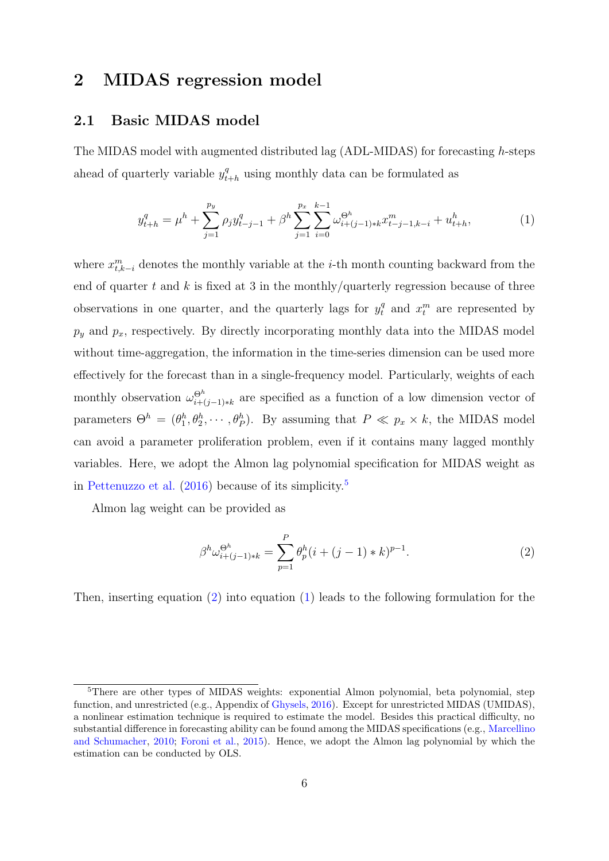### <span id="page-6-0"></span>**2 MIDAS regression model**

#### **2.1 Basic MIDAS model**

The MIDAS model with augmented distributed lag (ADL-MIDAS) for forecasting *h*-steps ahead of quarterly variable  $y_t^q$  $t_{t+h}^q$  using monthly data can be formulated as

<span id="page-6-3"></span>
$$
y_{t+h}^q = \mu^h + \sum_{j=1}^{p_y} \rho_j y_{t-j-1}^q + \beta^h \sum_{j=1}^{p_x} \sum_{i=0}^{k-1} \omega_{i+(j-1)*k}^{\Theta^h} x_{t-j-1,k-i}^m + u_{t+h}^h,
$$
\n(1)

where  $x_{t,k-i}^m$  denotes the monthly variable at the *i*-th month counting backward from the end of quarter *t* and *k* is fixed at 3 in the monthly/quarterly regression because of three observations in one quarter, and the quarterly lags for  $y_t^q$  and  $x_t^m$  are represented by  $p_y$  and  $p_x$ , respectively. By directly incorporating monthly data into the MIDAS model without time-aggregation, the information in the time-series dimension can be used more effectively for the forecast than in a single-frequency model. Particularly, weights of each monthly observation  $\omega_{i+1}^{\Theta^h}$ *i*+(*j−*1)*∗k* are specified as a function of a low dimension vector of parameters  $\Theta^h = (\theta_1^h, \theta_2^h, \cdots, \theta_P^h)$ . By assuming that  $P \ll p_x \times k$ , the MIDAS model can avoid a parameter proliferation problem, even if it contains many lagged monthly variables. Here, we adopt the Almon lag polynomial specification for MIDAS weight as in [Pettenuzzo et al.](#page-20-9) [\(2016\)](#page-20-9) because of its simplicity.[5](#page-6-1)

Almon lag weight can be provided as

<span id="page-6-2"></span>
$$
\beta^h \omega_{i+(j-1)*k}^{\Theta^h} = \sum_{p=1}^P \theta_p^h(i+(j-1)*k)^{p-1}.
$$
 (2)

Then, inserting equation ([2\)](#page-6-2) into equation ([1](#page-6-3)) leads to the following formulation for the

<span id="page-6-1"></span><sup>&</sup>lt;sup>5</sup>There are other types of MIDAS weights: exponential Almon polynomial, beta polynomial, step function, and unrestricted (e.g., Appendix of [Ghysels](#page-20-6), [2016](#page-20-6)). Except for unrestricted MIDAS (UMIDAS), a nonlinear estimation technique is required to estimate the model. Besides this practical difficulty, no substantial difference in forecasting ability can be found among the MIDAS specifications (e.g., [Marcellino](#page-20-2) [and Schumacher,](#page-20-2) [2010](#page-20-2); [Foroni et al.](#page-20-7), [2015\)](#page-20-7). Hence, we adopt the Almon lag polynomial by which the estimation can be conducted by OLS.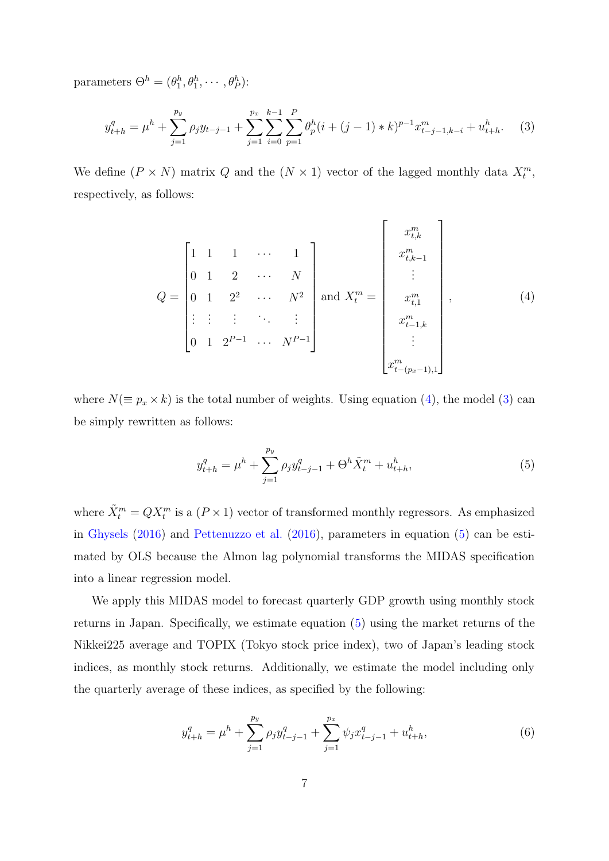parameters  $\Theta^h = (\theta_1^h, \theta_1^h, \cdots, \theta_P^h)$ :

<span id="page-7-1"></span>
$$
y_{t+h}^q = \mu^h + \sum_{j=1}^{p_y} \rho_j y_{t-j-1} + \sum_{j=1}^{p_x} \sum_{i=0}^{k-1} \sum_{p=1}^P \theta_p^h (i + (j-1) * k)^{p-1} x_{t-j-1,k-i}^m + u_{t+h}^h. \tag{3}
$$

We define  $(P \times N)$  matrix  $Q$  and the  $(N \times 1)$  vector of the lagged monthly data  $X_t^m$ , respectively, as follows:

<span id="page-7-0"></span>
$$
Q = \begin{bmatrix} 1 & 1 & 1 & \cdots & 1 \\ 0 & 1 & 2 & \cdots & N \\ 0 & 1 & 2^2 & \cdots & N^2 \\ \vdots & \vdots & \vdots & \ddots & \vdots \\ 0 & 1 & 2^{P-1} & \cdots & N^{P-1} \end{bmatrix} \text{ and } X_t^m = \begin{bmatrix} x_{t,k}^m \\ x_{t,k-1}^m \\ \vdots \\ x_{t,1}^m \\ \vdots \\ x_{t-1,k}^m \\ \vdots \\ x_{t-(p_x-1),1}^m \end{bmatrix}, \qquad (4)
$$

where  $N(\equiv p_x \times k)$  is the total number of weights. Using equation ([4\)](#page-7-0), the model ([3\)](#page-7-1) can be simply rewritten as follows:

<span id="page-7-2"></span>
$$
y_{t+h}^q = \mu^h + \sum_{j=1}^{p_y} \rho_j y_{t-j-1}^q + \Theta^h \tilde{X}_t^m + u_{t+h}^h,
$$
\n<sup>(5)</sup>

where  $\tilde{X}_t^m = QX_t^m$  is a  $(P \times 1)$  vector of transformed monthly regressors. As emphasized in [Ghysels](#page-20-6) [\(2016\)](#page-20-6) and [Pettenuzzo et al.](#page-20-9) [\(2016\)](#page-20-9), parameters in equation ([5\)](#page-7-2) can be estimated by OLS because the Almon lag polynomial transforms the MIDAS specification into a linear regression model.

We apply this MIDAS model to forecast quarterly GDP growth using monthly stock returns in Japan. Specifically, we estimate equation ([5](#page-7-2)) using the market returns of the Nikkei225 average and TOPIX (Tokyo stock price index), two of Japan's leading stock indices, as monthly stock returns. Additionally, we estimate the model including only the quarterly average of these indices, as specified by the following:

<span id="page-7-3"></span>
$$
y_{t+h}^q = \mu^h + \sum_{j=1}^{p_y} \rho_j y_{t-j-1}^q + \sum_{j=1}^{p_x} \psi_j x_{t-j-1}^q + u_{t+h}^h,
$$
\n
$$
(6)
$$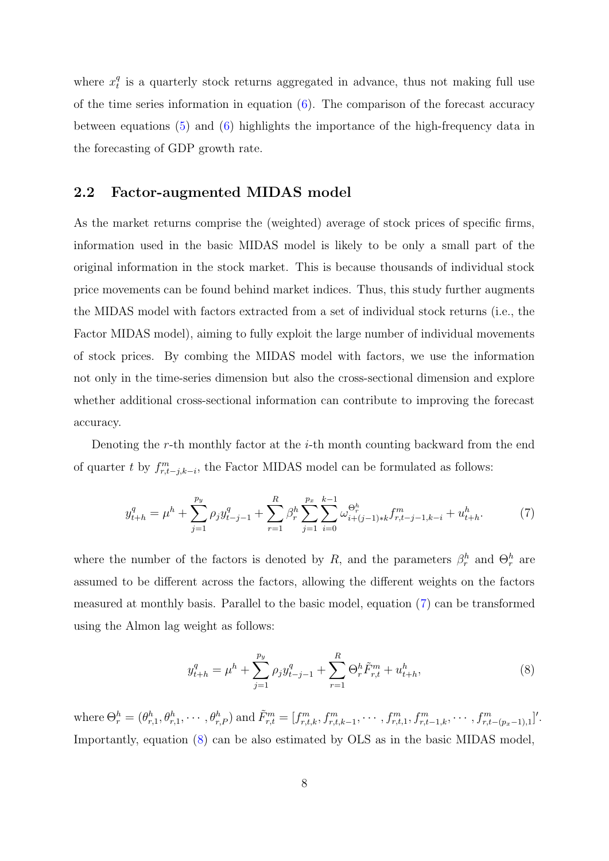where  $x_t^q$  $t$ <sup> $q$ </sup> is a quarterly stock returns aggregated in advance, thus not making full use of the time series information in equation ([6\)](#page-7-3). The comparison of the forecast accuracy between equations ([5\)](#page-7-2) and ([6\)](#page-7-3) highlights the importance of the high-frequency data in the forecasting of GDP growth rate.

#### **2.2 Factor-augmented MIDAS model**

As the market returns comprise the (weighted) average of stock prices of specific firms, information used in the basic MIDAS model is likely to be only a small part of the original information in the stock market. This is because thousands of individual stock price movements can be found behind market indices. Thus, this study further augments the MIDAS model with factors extracted from a set of individual stock returns (i.e., the Factor MIDAS model), aiming to fully exploit the large number of individual movements of stock prices. By combing the MIDAS model with factors, we use the information not only in the time-series dimension but also the cross-sectional dimension and explore whether additional cross-sectional information can contribute to improving the forecast accuracy.

Denoting the *r*-th monthly factor at the *i*-th month counting backward from the end of quarter *t* by  $f_{r,t-j,k-i}^m$ , the Factor MIDAS model can be formulated as follows:

<span id="page-8-0"></span>
$$
y_{t+h}^q = \mu^h + \sum_{j=1}^{p_y} \rho_j y_{t-j-1}^q + \sum_{r=1}^R \beta_r^h \sum_{j=1}^{p_x} \sum_{i=0}^{k-1} \omega_{i+(j-1)*k}^{\Theta_r^h} f_{r,t-j-1,k-i}^m + u_{t+h}^h. \tag{7}
$$

where the number of the factors is denoted by *R*, and the parameters  $\beta_r^h$  and  $\Theta_r^h$  are assumed to be different across the factors, allowing the different weights on the factors measured at monthly basis. Parallel to the basic model, equation ([7](#page-8-0)) can be transformed using the Almon lag weight as follows:

<span id="page-8-1"></span>
$$
y_{t+h}^q = \mu^h + \sum_{j=1}^{p_y} \rho_j y_{t-j-1}^q + \sum_{r=1}^R \Theta_r^h \tilde{F}_{r,t}^m + u_{t+h}^h,
$$
\n(8)

where  $\Theta_r^h = (\theta_{r,1}^h, \theta_{r,1}^h, \cdots, \theta_{r,P}^h)$  and  $\tilde{F}_{r,t}^m = [f_{r,t,k}^m, f_{r,t,k-1}^m, \cdots, f_{r,t,1}^m, f_{r,t-1,k}^m, \cdots, f_{r,t-(p_x-1),1}^m]^T$ . Importantly, equation ([8\)](#page-8-1) can be also estimated by OLS as in the basic MIDAS model,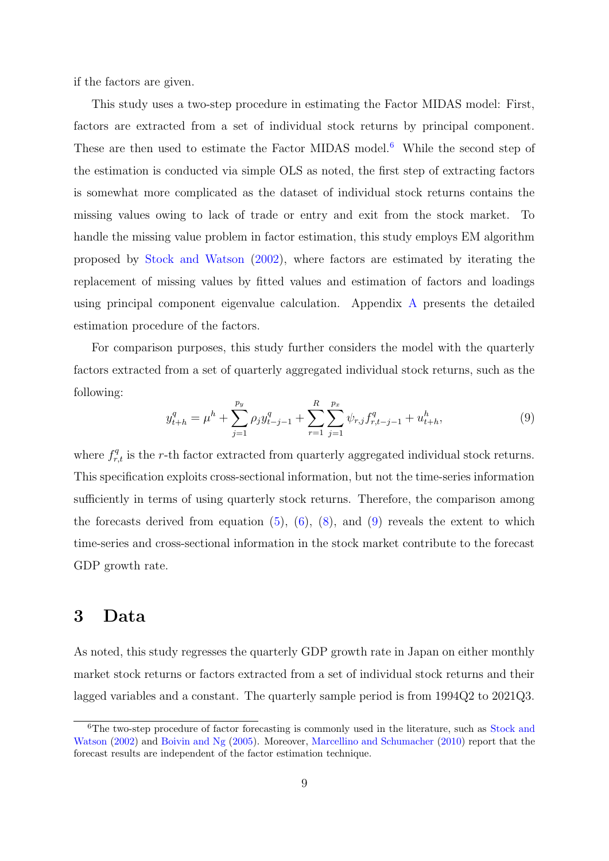if the factors are given.

This study uses a two-step procedure in estimating the Factor MIDAS model: First, factors are extracted from a set of individual stock returns by principal component. These are then used to estimate the Factor MIDAS model.<sup>[6](#page-9-1)</sup> While the second step of the estimation is conducted via simple OLS as noted, the first step of extracting factors is somewhat more complicated as the dataset of individual stock returns contains the missing values owing to lack of trade or entry and exit from the stock market. To handle the missing value problem in factor estimation, this study employs EM algorithm proposed by [Stock and Watson](#page-20-4) [\(2002\)](#page-20-4), where factors are estimated by iterating the replacement of missing values by fitted values and estimation of factors and loadings using principal component eigenvalue calculation. Appendix [A](#page-22-0) presents the detailed estimation procedure of the factors.

For comparison purposes, this study further considers the model with the quarterly factors extracted from a set of quarterly aggregated individual stock returns, such as the following:

<span id="page-9-2"></span>
$$
y_{t+h}^q = \mu^h + \sum_{j=1}^{p_y} \rho_j y_{t-j-1}^q + \sum_{r=1}^R \sum_{j=1}^{p_x} \psi_{r,j} f_{r,t-j-1}^q + u_{t+h}^h,
$$
\n(9)

where  $f_{r,t}^q$  is the *r*-th factor extracted from quarterly aggregated individual stock returns. This specification exploits cross-sectional information, but not the time-series information sufficiently in terms of using quarterly stock returns. Therefore, the comparison among the forecasts derived from equation  $(5)$  $(5)$ ,  $(6)$  $(6)$ ,  $(8)$  $(8)$ , and  $(9)$  $(9)$  reveals the extent to which time-series and cross-sectional information in the stock market contribute to the forecast GDP growth rate.

### <span id="page-9-0"></span>**3 Data**

As noted, this study regresses the quarterly GDP growth rate in Japan on either monthly market stock returns or factors extracted from a set of individual stock returns and their lagged variables and a constant. The quarterly sample period is from 1994Q2 to 2021Q3.

<span id="page-9-1"></span><sup>&</sup>lt;sup>6</sup>The two-step procedure of factor forecasting is commonly used in the literature, such as [Stock and](#page-20-4) [Watson](#page-20-4) ([2002\)](#page-20-4) and [Boivin and Ng](#page-19-1) ([2005](#page-19-1)). Moreover, [Marcellino and Schumacher](#page-20-2) [\(2010](#page-20-2)) report that the forecast results are independent of the factor estimation technique.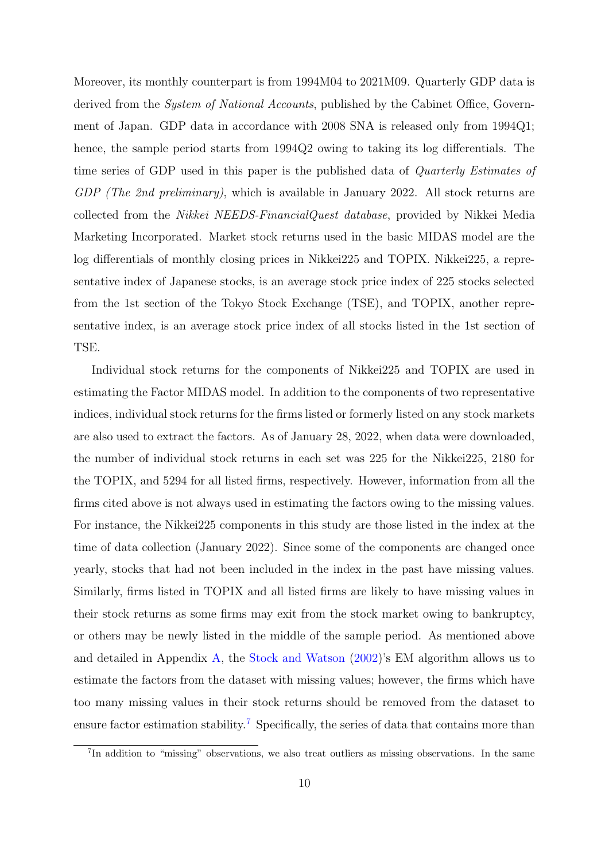Moreover, its monthly counterpart is from 1994M04 to 2021M09. Quarterly GDP data is derived from the *System of National Accounts*, published by the Cabinet Office, Government of Japan. GDP data in accordance with 2008 SNA is released only from 1994Q1; hence, the sample period starts from 1994Q2 owing to taking its log differentials. The time series of GDP used in this paper is the published data of *Quarterly Estimates of GDP (The 2nd preliminary)*, which is available in January 2022. All stock returns are collected from the *Nikkei NEEDS-FinancialQuest database*, provided by Nikkei Media Marketing Incorporated. Market stock returns used in the basic MIDAS model are the log differentials of monthly closing prices in Nikkei225 and TOPIX. Nikkei225, a representative index of Japanese stocks, is an average stock price index of 225 stocks selected from the 1st section of the Tokyo Stock Exchange (TSE), and TOPIX, another representative index, is an average stock price index of all stocks listed in the 1st section of TSE.

Individual stock returns for the components of Nikkei225 and TOPIX are used in estimating the Factor MIDAS model. In addition to the components of two representative indices, individual stock returns for the firms listed or formerly listed on any stock markets are also used to extract the factors. As of January 28, 2022, when data were downloaded, the number of individual stock returns in each set was 225 for the Nikkei225, 2180 for the TOPIX, and 5294 for all listed firms, respectively. However, information from all the firms cited above is not always used in estimating the factors owing to the missing values. For instance, the Nikkei225 components in this study are those listed in the index at the time of data collection (January 2022). Since some of the components are changed once yearly, stocks that had not been included in the index in the past have missing values. Similarly, firms listed in TOPIX and all listed firms are likely to have missing values in their stock returns as some firms may exit from the stock market owing to bankruptcy, or others may be newly listed in the middle of the sample period. As mentioned above and detailed in Appendix [A,](#page-22-0) the [Stock and Watson](#page-20-4) [\(2002\)](#page-20-4)'s EM algorithm allows us to estimate the factors from the dataset with missing values; however, the firms which have too many missing values in their stock returns should be removed from the dataset to ensure factor estimation stability.<sup>[7](#page-10-0)</sup> Specifically, the series of data that contains more than

<span id="page-10-0"></span><sup>&</sup>lt;sup>7</sup>In addition to "missing" observations, we also treat outliers as missing observations. In the same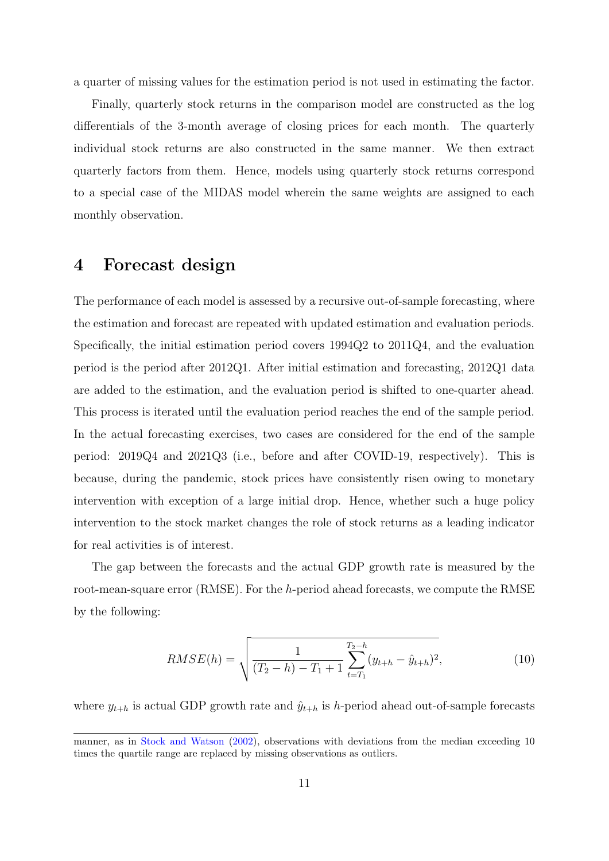a quarter of missing values for the estimation period is not used in estimating the factor.

Finally, quarterly stock returns in the comparison model are constructed as the log differentials of the 3-month average of closing prices for each month. The quarterly individual stock returns are also constructed in the same manner. We then extract quarterly factors from them. Hence, models using quarterly stock returns correspond to a special case of the MIDAS model wherein the same weights are assigned to each monthly observation.

### <span id="page-11-0"></span>**4 Forecast design**

The performance of each model is assessed by a recursive out-of-sample forecasting, where the estimation and forecast are repeated with updated estimation and evaluation periods. Specifically, the initial estimation period covers 1994Q2 to 2011Q4, and the evaluation period is the period after 2012Q1. After initial estimation and forecasting, 2012Q1 data are added to the estimation, and the evaluation period is shifted to one-quarter ahead. This process is iterated until the evaluation period reaches the end of the sample period. In the actual forecasting exercises, two cases are considered for the end of the sample period: 2019Q4 and 2021Q3 (i.e., before and after COVID-19, respectively). This is because, during the pandemic, stock prices have consistently risen owing to monetary intervention with exception of a large initial drop. Hence, whether such a huge policy intervention to the stock market changes the role of stock returns as a leading indicator for real activities is of interest.

The gap between the forecasts and the actual GDP growth rate is measured by the root-mean-square error (RMSE). For the *h*-period ahead forecasts, we compute the RMSE by the following:

$$
RMSE(h) = \sqrt{\frac{1}{(T_2 - h) - T_1 + 1} \sum_{t=T_1}^{T_2 - h} (y_{t+h} - \hat{y}_{t+h})^2},
$$
\n(10)

where  $y_{t+h}$  is actual GDP growth rate and  $\hat{y}_{t+h}$  is *h*-period ahead out-of-sample forecasts

manner, as in [Stock and Watson](#page-20-4) ([2002](#page-20-4)), observations with deviations from the median exceeding 10 times the quartile range are replaced by missing observations as outliers.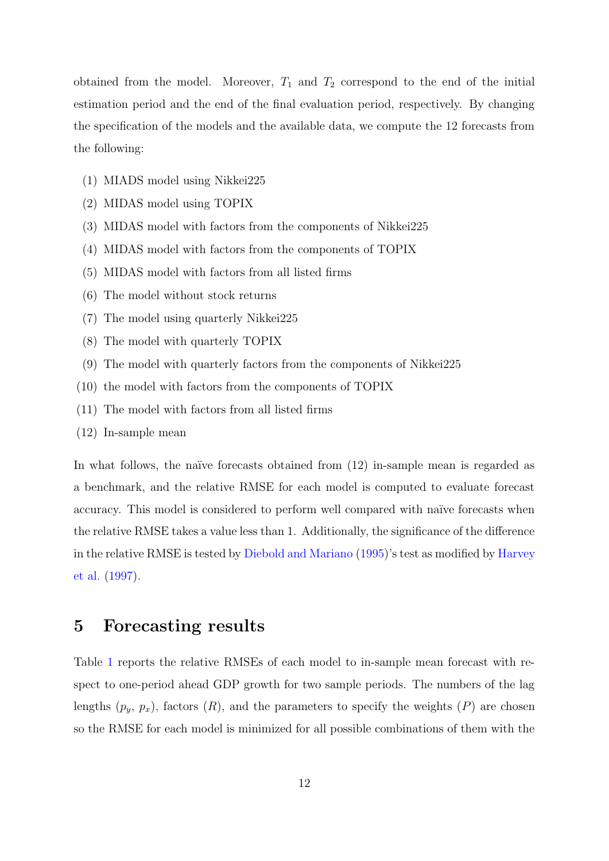obtained from the model. Moreover,  $T_1$  and  $T_2$  correspond to the end of the initial estimation period and the end of the final evaluation period, respectively. By changing the specification of the models and the available data, we compute the 12 forecasts from the following:

- (1) MIADS model using Nikkei225
- (2) MIDAS model using TOPIX
- (3) MIDAS model with factors from the components of Nikkei225
- (4) MIDAS model with factors from the components of TOPIX
- (5) MIDAS model with factors from all listed firms
- (6) The model without stock returns
- (7) The model using quarterly Nikkei225
- (8) The model with quarterly TOPIX
- (9) The model with quarterly factors from the components of Nikkei225
- (10) the model with factors from the components of TOPIX
- (11) The model with factors from all listed firms
- (12) In-sample mean

In what follows, the naïve forecasts obtained from  $(12)$  in-sample mean is regarded as a benchmark, and the relative RMSE for each model is computed to evaluate forecast accuracy. This model is considered to perform well compared with naïve forecasts when the relative RMSE takes a value less than 1. Additionally, the significance of the difference in the relative RMSE is tested by [Diebold and Mariano](#page-19-9) [\(1995\)](#page-19-9)'s test as modified by [Harvey](#page-20-10) [et al.](#page-20-10) [\(1997\)](#page-20-10).

### <span id="page-12-0"></span>**5 Forecasting results**

Table [1](#page-13-0) reports the relative RMSEs of each model to in-sample mean forecast with respect to one-period ahead GDP growth for two sample periods. The numbers of the lag lengths  $(p_y, p_x)$ , factors  $(R)$ , and the parameters to specify the weights  $(P)$  are chosen so the RMSE for each model is minimized for all possible combinations of them with the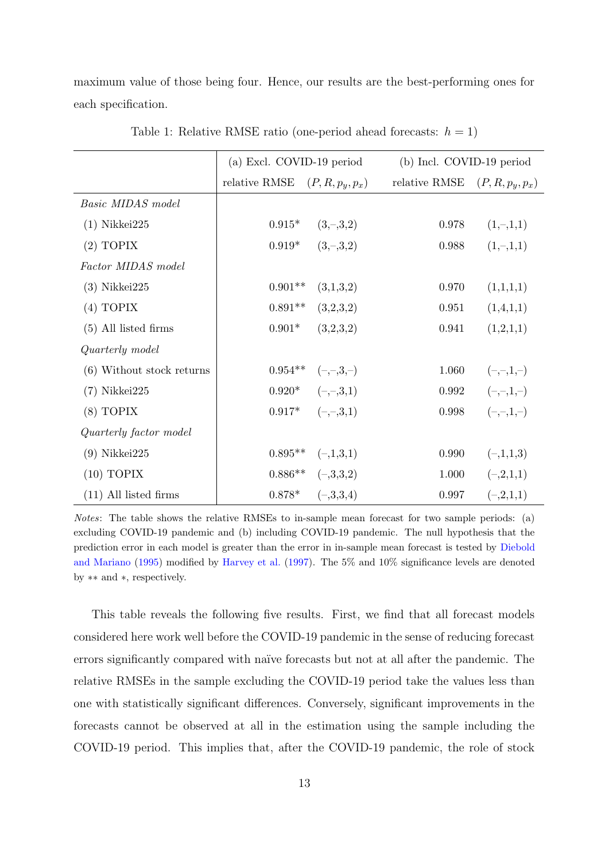maximum value of those being four. Hence, our results are the best-performing ones for each specification.

<span id="page-13-0"></span>

|                           | (a) Excl. COVID-19 period        |                       | (b) Incl. COVID-19 period |                    |
|---------------------------|----------------------------------|-----------------------|---------------------------|--------------------|
|                           | relative RMSE $(P, R, p_y, p_x)$ |                       | relative RMSE             | $(P, R, p_y, p_x)$ |
| Basic MIDAS model         |                                  |                       |                           |                    |
| $(1)$ Nikkei $225$        | $0.915*$                         | $(3, -3, 2)$          | 0.978                     | $(1,-,1,1)$        |
| $(2)$ TOPIX               | $0.919*$                         | $(3, -3, 2)$          | 0.988                     | $(1,-,1,1)$        |
| Factor MIDAS model        |                                  |                       |                           |                    |
| $(3)$ Nikkei $225$        | $0.901**$                        | (3,1,3,2)             | 0.970                     | (1,1,1,1)          |
| (4) TOPIX                 | $0.891**$                        | (3,2,3,2)             | 0.951                     | (1,4,1,1)          |
| $(5)$ All listed firms    | $0.901*$                         | (3,2,3,2)             | 0.941                     | (1,2,1,1)          |
| Quarterly model           |                                  |                       |                           |                    |
| (6) Without stock returns | $0.954**$                        | $(-,-,3,-)$           | 1.060                     | $(-,-,1,-)$        |
| $(7)$ Nikkei $225$        |                                  | $0.920^*$ $(-,-,3,1)$ | 0.992                     | $(-,-,1,-)$        |
| $(8)$ TOPIX               | $0.917*$                         | $(-,-,3,1)$           | 0.998                     | $(-,-,1,-)$        |
| Quarterly factor model    |                                  |                       |                           |                    |
| $(9)$ Nikkei $225$        | $0.895**$                        | $(-,1,3,1)$           | 0.990                     | $(-,1,1,3)$        |
| $(10)$ TOPIX              | $0.886**$                        | $(-3,3,2)$            | 1.000                     | $(-2,1,1)$         |
| $(11)$ All listed firms   | $0.878*$                         | $(-3,3,4)$            | 0.997                     | $(-2,1,1)$         |

Table 1: Relative RMSE ratio (one-period ahead forecasts:  $h = 1$ )

*Notes*: The table shows the relative RMSEs to in-sample mean forecast for two sample periods: (a) excluding COVID-19 pandemic and (b) including COVID-19 pandemic. The null hypothesis that the prediction error in each model is greater than the error in in-sample mean forecast is tested by [Diebold](#page-19-9) [and Mariano](#page-19-9) [\(1995](#page-19-9)) modified by [Harvey et al.](#page-20-10) ([1997\)](#page-20-10). The 5% and 10% significance levels are denoted by *∗∗* and *∗*, respectively.

This table reveals the following five results. First, we find that all forecast models considered here work well before the COVID-19 pandemic in the sense of reducing forecast errors significantly compared with naïve forecasts but not at all after the pandemic. The relative RMSEs in the sample excluding the COVID-19 period take the values less than one with statistically significant differences. Conversely, significant improvements in the forecasts cannot be observed at all in the estimation using the sample including the COVID-19 period. This implies that, after the COVID-19 pandemic, the role of stock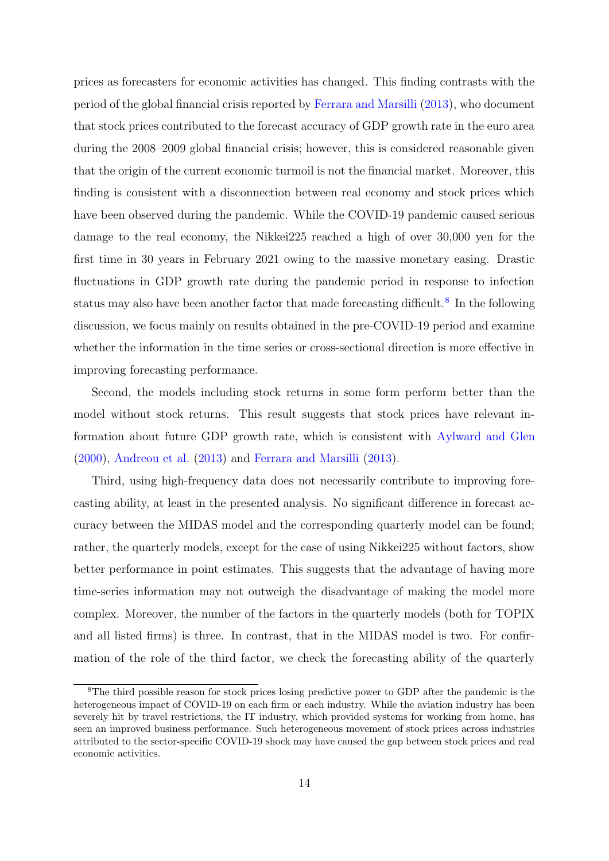prices as forecasters for economic activities has changed. This finding contrasts with the period of the global financial crisis reported by [Ferrara and Marsilli](#page-19-4) [\(2013\)](#page-19-4), who document that stock prices contributed to the forecast accuracy of GDP growth rate in the euro area during the 2008–2009 global financial crisis; however, this is considered reasonable given that the origin of the current economic turmoil is not the financial market. Moreover, this finding is consistent with a disconnection between real economy and stock prices which have been observed during the pandemic. While the COVID-19 pandemic caused serious damage to the real economy, the Nikkei225 reached a high of over 30,000 yen for the first time in 30 years in February 2021 owing to the massive monetary easing. Drastic fluctuations in GDP growth rate during the pandemic period in response to infection status may also have been another factor that made forecasting difficult.<sup>[8](#page-14-0)</sup> In the following discussion, we focus mainly on results obtained in the pre-COVID-19 period and examine whether the information in the time series or cross-sectional direction is more effective in improving forecasting performance.

Second, the models including stock returns in some form perform better than the model without stock returns. This result suggests that stock prices have relevant information about future GDP growth rate, which is consistent with [Aylward and Glen](#page-19-3) ([2000\)](#page-19-3), [Andreou et al.](#page-19-0) ([2013](#page-19-0)) and [Ferrara and Marsilli](#page-19-4) ([2013](#page-19-4)).

Third, using high-frequency data does not necessarily contribute to improving forecasting ability, at least in the presented analysis. No significant difference in forecast accuracy between the MIDAS model and the corresponding quarterly model can be found; rather, the quarterly models, except for the case of using Nikkei225 without factors, show better performance in point estimates. This suggests that the advantage of having more time-series information may not outweigh the disadvantage of making the model more complex. Moreover, the number of the factors in the quarterly models (both for TOPIX and all listed firms) is three. In contrast, that in the MIDAS model is two. For confirmation of the role of the third factor, we check the forecasting ability of the quarterly

<span id="page-14-0"></span><sup>&</sup>lt;sup>8</sup>The third possible reason for stock prices losing predictive power to GDP after the pandemic is the heterogeneous impact of COVID-19 on each firm or each industry. While the aviation industry has been severely hit by travel restrictions, the IT industry, which provided systems for working from home, has seen an improved business performance. Such heterogeneous movement of stock prices across industries attributed to the sector-specific COVID-19 shock may have caused the gap between stock prices and real economic activities.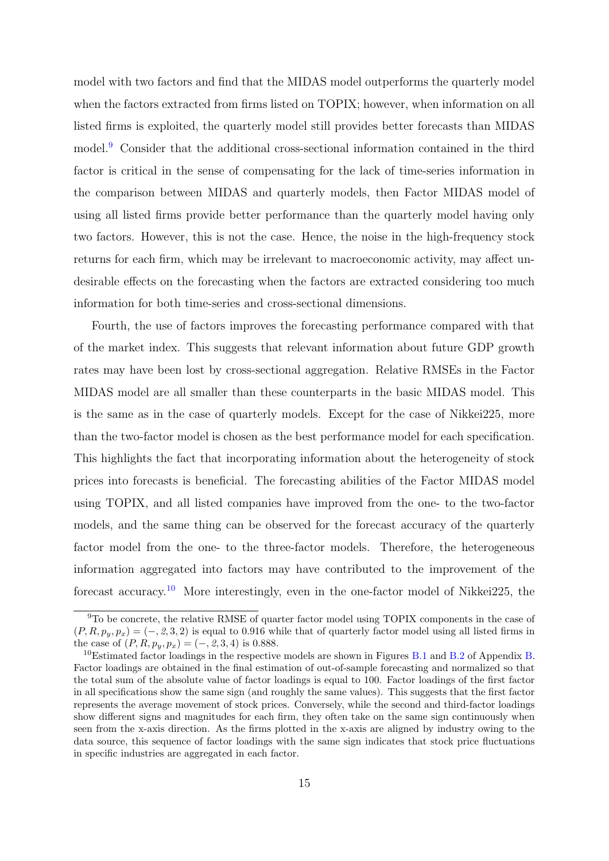model with two factors and find that the MIDAS model outperforms the quarterly model when the factors extracted from firms listed on TOPIX; however, when information on all listed firms is exploited, the quarterly model still provides better forecasts than MIDAS model.<sup>[9](#page-15-0)</sup> Consider that the additional cross-sectional information contained in the third factor is critical in the sense of compensating for the lack of time-series information in the comparison between MIDAS and quarterly models, then Factor MIDAS model of using all listed firms provide better performance than the quarterly model having only two factors. However, this is not the case. Hence, the noise in the high-frequency stock returns for each firm, which may be irrelevant to macroeconomic activity, may affect undesirable effects on the forecasting when the factors are extracted considering too much information for both time-series and cross-sectional dimensions.

Fourth, the use of factors improves the forecasting performance compared with that of the market index. This suggests that relevant information about future GDP growth rates may have been lost by cross-sectional aggregation. Relative RMSEs in the Factor MIDAS model are all smaller than these counterparts in the basic MIDAS model. This is the same as in the case of quarterly models. Except for the case of Nikkei225, more than the two-factor model is chosen as the best performance model for each specification. This highlights the fact that incorporating information about the heterogeneity of stock prices into forecasts is beneficial. The forecasting abilities of the Factor MIDAS model using TOPIX, and all listed companies have improved from the one- to the two-factor models, and the same thing can be observed for the forecast accuracy of the quarterly factor model from the one- to the three-factor models. Therefore, the heterogeneous information aggregated into factors may have contributed to the improvement of the forecast accuracy.[10](#page-15-1) More interestingly, even in the one-factor model of Nikkei225, the

<span id="page-15-0"></span><sup>&</sup>lt;sup>9</sup>To be concrete, the relative RMSE of quarter factor model using TOPIX components in the case of  $(P, R, p_y, p_x) = (-, 2, 3, 2)$  is equal to 0.916 while that of quarterly factor model using all listed firms in the case of  $(P, R, p_y, p_x) = (-, 2, 3, 4)$  is 0.888.

<span id="page-15-1"></span> $10$ Estimated factor loadings in the respective models are shown in Figures [B.1](#page-23-0) and [B.2](#page-24-0) of Appendix [B.](#page-23-1) Factor loadings are obtained in the final estimation of out-of-sample forecasting and normalized so that the total sum of the absolute value of factor loadings is equal to 100. Factor loadings of the first factor in all specifications show the same sign (and roughly the same values). This suggests that the first factor represents the average movement of stock prices. Conversely, while the second and third-factor loadings show different signs and magnitudes for each firm, they often take on the same sign continuously when seen from the x-axis direction. As the firms plotted in the x-axis are aligned by industry owing to the data source, this sequence of factor loadings with the same sign indicates that stock price fluctuations in specific industries are aggregated in each factor.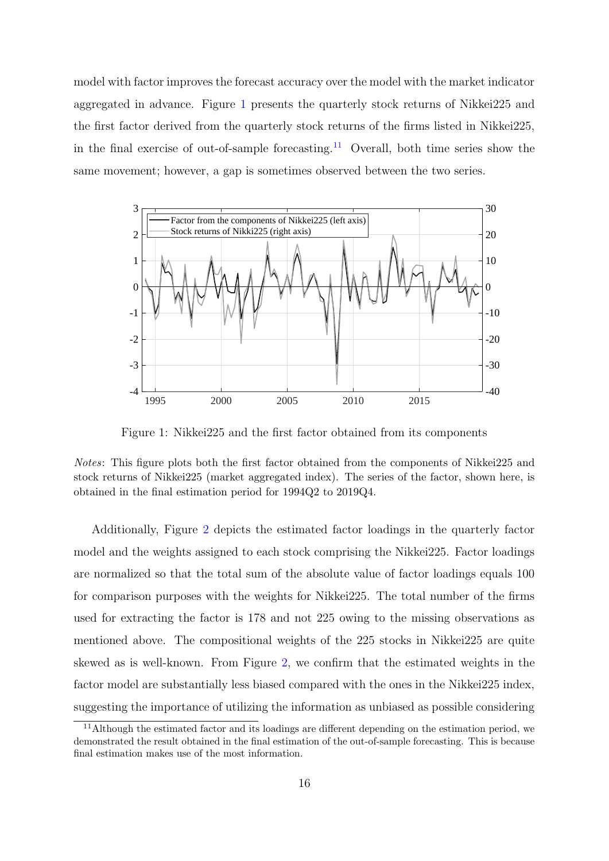model with factor improves the forecast accuracy over the model with the market indicator aggregated in advance. Figure [1](#page-16-0) presents the quarterly stock returns of Nikkei225 and the first factor derived from the quarterly stock returns of the firms listed in Nikkei225, in the final exercise of out-of-sample forecasting.<sup>[11](#page-16-1)</sup> Overall, both time series show the same movement; however, a gap is sometimes observed between the two series.

<span id="page-16-0"></span>

Figure 1: Nikkei225 and the first factor obtained from its components

*Notes*: This figure plots both the first factor obtained from the components of Nikkei225 and stock returns of Nikkei225 (market aggregated index). The series of the factor, shown here, is obtained in the final estimation period for 1994Q2 to 2019Q4.

Additionally, Figure [2](#page-17-0) depicts the estimated factor loadings in the quarterly factor model and the weights assigned to each stock comprising the Nikkei225. Factor loadings are normalized so that the total sum of the absolute value of factor loadings equals 100 for comparison purposes with the weights for Nikkei225. The total number of the firms used for extracting the factor is 178 and not 225 owing to the missing observations as mentioned above. The compositional weights of the 225 stocks in Nikkei225 are quite skewed as is well-known. From Figure [2](#page-17-0), we confirm that the estimated weights in the factor model are substantially less biased compared with the ones in the Nikkei225 index, suggesting the importance of utilizing the information as unbiased as possible considering

<span id="page-16-1"></span><sup>&</sup>lt;sup>11</sup>Although the estimated factor and its loadings are different depending on the estimation period, we demonstrated the result obtained in the final estimation of the out-of-sample forecasting. This is because final estimation makes use of the most information.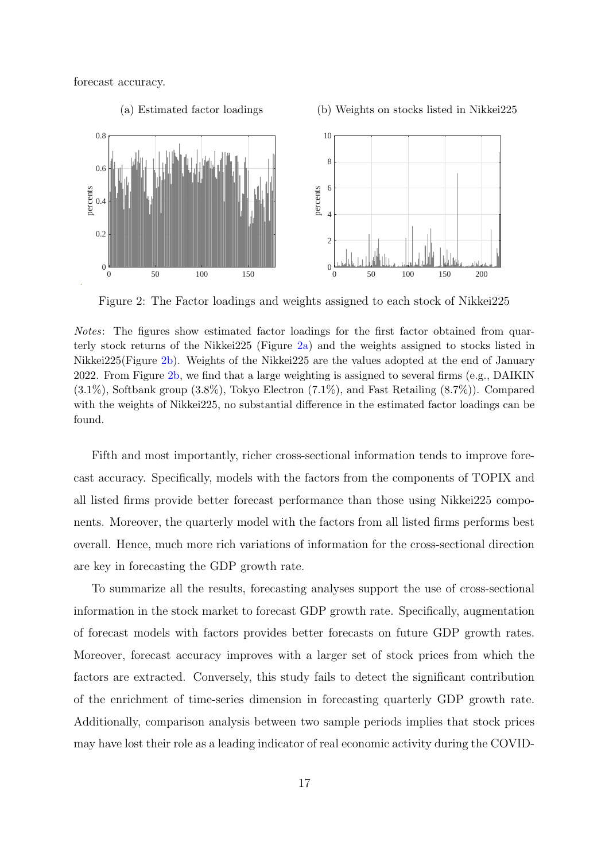forecast accuracy.

<span id="page-17-0"></span>

Figure 2: The Factor loadings and weights assigned to each stock of Nikkei225

*Notes*: The figures show estimated factor loadings for the first factor obtained from quarterly stock returns of the Nikkei225 (Figure [2a\)](#page-17-0) and the weights assigned to stocks listed in Nikkei225(Figure [2b](#page-17-0)). Weights of the Nikkei225 are the values adopted at the end of January 2022. From Figure [2b,](#page-17-0) we find that a large weighting is assigned to several firms (e.g., DAIKIN) (3.1%), Softbank group (3.8%), Tokyo Electron (7.1%), and Fast Retailing (8.7%)). Compared with the weights of Nikkei225, no substantial difference in the estimated factor loadings can be found.

Fifth and most importantly, richer cross-sectional information tends to improve forecast accuracy. Specifically, models with the factors from the components of TOPIX and all listed firms provide better forecast performance than those using Nikkei225 components. Moreover, the quarterly model with the factors from all listed firms performs best overall. Hence, much more rich variations of information for the cross-sectional direction are key in forecasting the GDP growth rate.

To summarize all the results, forecasting analyses support the use of cross-sectional information in the stock market to forecast GDP growth rate. Specifically, augmentation of forecast models with factors provides better forecasts on future GDP growth rates. Moreover, forecast accuracy improves with a larger set of stock prices from which the factors are extracted. Conversely, this study fails to detect the significant contribution of the enrichment of time-series dimension in forecasting quarterly GDP growth rate. Additionally, comparison analysis between two sample periods implies that stock prices may have lost their role as a leading indicator of real economic activity during the COVID-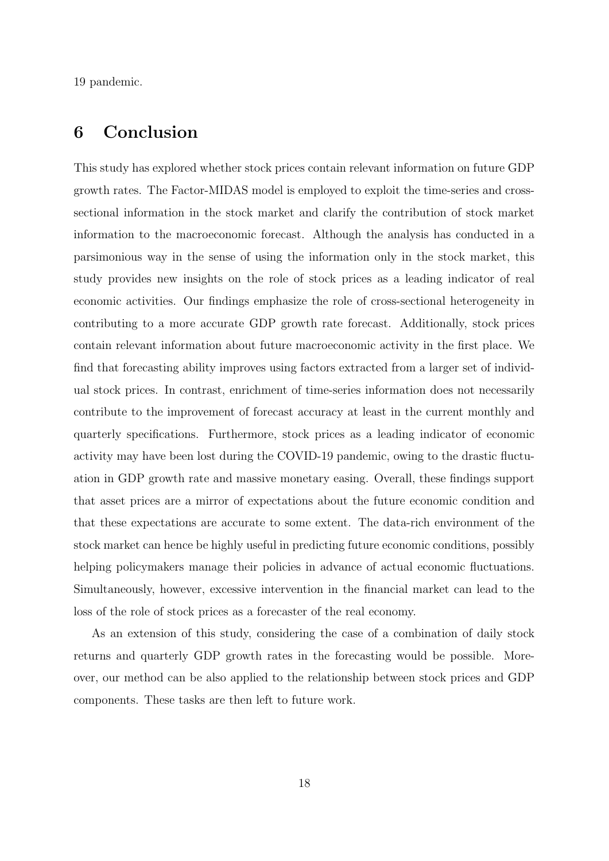19 pandemic.

### <span id="page-18-0"></span>**6 Conclusion**

This study has explored whether stock prices contain relevant information on future GDP growth rates. The Factor-MIDAS model is employed to exploit the time-series and crosssectional information in the stock market and clarify the contribution of stock market information to the macroeconomic forecast. Although the analysis has conducted in a parsimonious way in the sense of using the information only in the stock market, this study provides new insights on the role of stock prices as a leading indicator of real economic activities. Our findings emphasize the role of cross-sectional heterogeneity in contributing to a more accurate GDP growth rate forecast. Additionally, stock prices contain relevant information about future macroeconomic activity in the first place. We find that forecasting ability improves using factors extracted from a larger set of individual stock prices. In contrast, enrichment of time-series information does not necessarily contribute to the improvement of forecast accuracy at least in the current monthly and quarterly specifications. Furthermore, stock prices as a leading indicator of economic activity may have been lost during the COVID-19 pandemic, owing to the drastic fluctuation in GDP growth rate and massive monetary easing. Overall, these findings support that asset prices are a mirror of expectations about the future economic condition and that these expectations are accurate to some extent. The data-rich environment of the stock market can hence be highly useful in predicting future economic conditions, possibly helping policymakers manage their policies in advance of actual economic fluctuations. Simultaneously, however, excessive intervention in the financial market can lead to the loss of the role of stock prices as a forecaster of the real economy.

As an extension of this study, considering the case of a combination of daily stock returns and quarterly GDP growth rates in the forecasting would be possible. Moreover, our method can be also applied to the relationship between stock prices and GDP components. These tasks are then left to future work.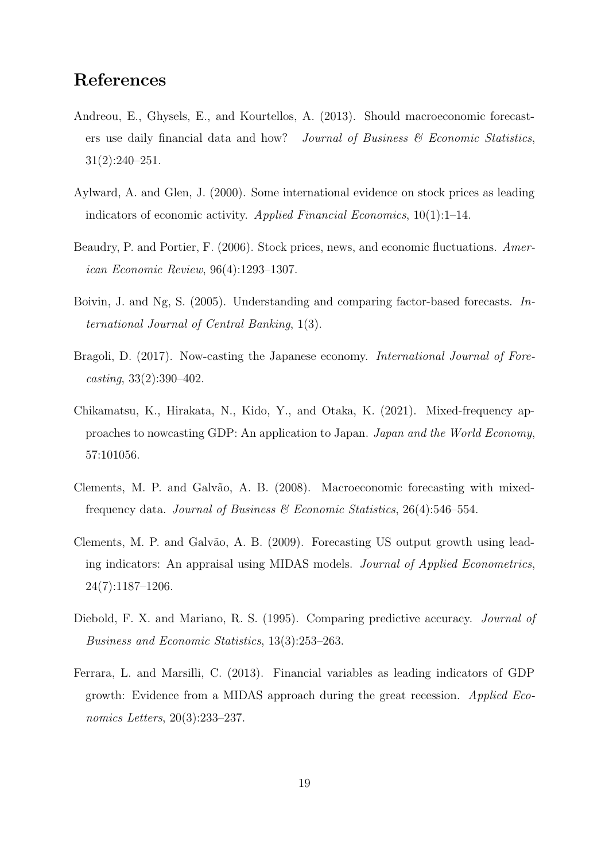### **References**

- <span id="page-19-0"></span>Andreou, E., Ghysels, E., and Kourtellos, A. (2013). Should macroeconomic forecasters use daily financial data and how? *Journal of Business & Economic Statistics*, 31(2):240–251.
- <span id="page-19-3"></span>Aylward, A. and Glen, J. (2000). Some international evidence on stock prices as leading indicators of economic activity. *Applied Financial Economics*, 10(1):1–14.
- <span id="page-19-2"></span>Beaudry, P. and Portier, F. (2006). Stock prices, news, and economic fluctuations. *American Economic Review*, 96(4):1293–1307.
- <span id="page-19-1"></span>Boivin, J. and Ng, S. (2005). Understanding and comparing factor-based forecasts. *International Journal of Central Banking*, 1(3).
- <span id="page-19-7"></span>Bragoli, D. (2017). Now-casting the Japanese economy. *International Journal of Forecasting*, 33(2):390–402.
- <span id="page-19-8"></span>Chikamatsu, K., Hirakata, N., Kido, Y., and Otaka, K. (2021). Mixed-frequency approaches to nowcasting GDP: An application to Japan. *Japan and the World Economy*, 57:101056.
- <span id="page-19-5"></span>Clements, M. P. and Galvão, A. B. (2008). Macroeconomic forecasting with mixedfrequency data. *Journal of Business & Economic Statistics*, 26(4):546–554.
- <span id="page-19-6"></span>Clements, M. P. and Galvão, A. B. (2009). Forecasting US output growth using leading indicators: An appraisal using MIDAS models. *Journal of Applied Econometrics*, 24(7):1187–1206.
- <span id="page-19-9"></span>Diebold, F. X. and Mariano, R. S. (1995). Comparing predictive accuracy. *Journal of Business and Economic Statistics*, 13(3):253–263.
- <span id="page-19-4"></span>Ferrara, L. and Marsilli, C. (2013). Financial variables as leading indicators of GDP growth: Evidence from a MIDAS approach during the great recession. *Applied Economics Letters*, 20(3):233–237.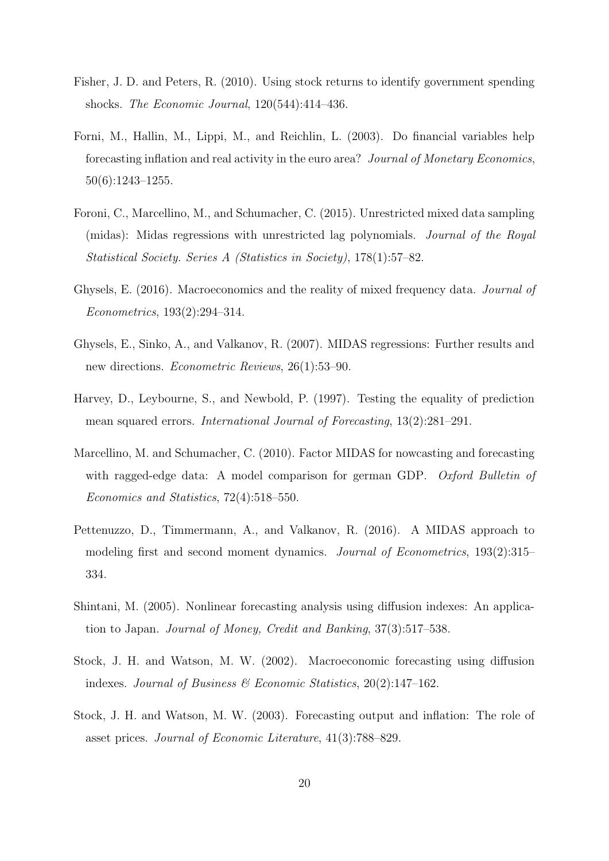- <span id="page-20-5"></span>Fisher, J. D. and Peters, R. (2010). Using stock returns to identify government spending shocks. *The Economic Journal*, 120(544):414–436.
- <span id="page-20-1"></span>Forni, M., Hallin, M., Lippi, M., and Reichlin, L. (2003). Do financial variables help forecasting inflation and real activity in the euro area? *Journal of Monetary Economics*, 50(6):1243–1255.
- <span id="page-20-7"></span>Foroni, C., Marcellino, M., and Schumacher, C. (2015). Unrestricted mixed data sampling (midas): Midas regressions with unrestricted lag polynomials. *Journal of the Royal Statistical Society. Series A (Statistics in Society)*, 178(1):57–82.
- <span id="page-20-6"></span>Ghysels, E. (2016). Macroeconomics and the reality of mixed frequency data. *Journal of Econometrics*, 193(2):294–314.
- <span id="page-20-3"></span>Ghysels, E., Sinko, A., and Valkanov, R. (2007). MIDAS regressions: Further results and new directions. *Econometric Reviews*, 26(1):53–90.
- <span id="page-20-10"></span>Harvey, D., Leybourne, S., and Newbold, P. (1997). Testing the equality of prediction mean squared errors. *International Journal of Forecasting*, 13(2):281–291.
- <span id="page-20-2"></span>Marcellino, M. and Schumacher, C. (2010). Factor MIDAS for nowcasting and forecasting with ragged-edge data: A model comparison for german GDP. *Oxford Bulletin of Economics and Statistics*, 72(4):518–550.
- <span id="page-20-9"></span>Pettenuzzo, D., Timmermann, A., and Valkanov, R. (2016). A MIDAS approach to modeling first and second moment dynamics. *Journal of Econometrics*, 193(2):315– 334.
- <span id="page-20-8"></span>Shintani, M. (2005). Nonlinear forecasting analysis using diffusion indexes: An application to Japan. *Journal of Money, Credit and Banking*, 37(3):517–538.
- <span id="page-20-4"></span>Stock, J. H. and Watson, M. W. (2002). Macroeconomic forecasting using diffusion indexes. *Journal of Business & Economic Statistics*, 20(2):147–162.
- <span id="page-20-0"></span>Stock, J. H. and Watson, M. W. (2003). Forecasting output and inflation: The role of asset prices. *Journal of Economic Literature*, 41(3):788–829.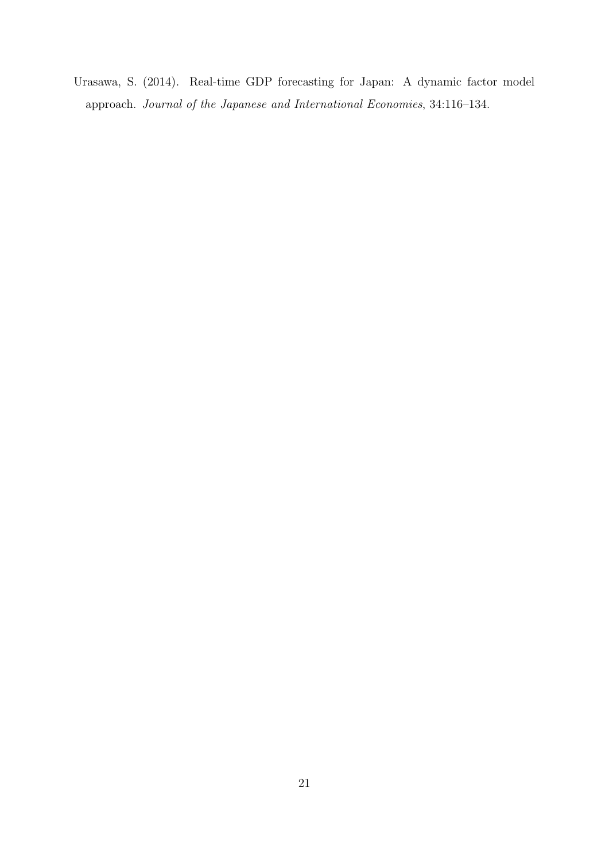<span id="page-21-0"></span>Urasawa, S. (2014). Real-time GDP forecasting for Japan: A dynamic factor model approach. *Journal of the Japanese and International Economies*, 34:116–134.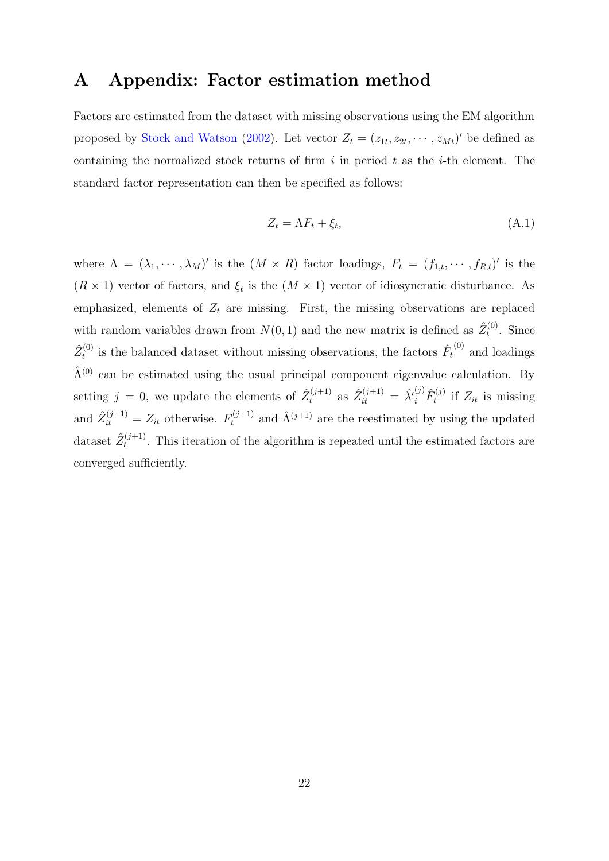## <span id="page-22-0"></span>**A Appendix: Factor estimation method**

Factors are estimated from the dataset with missing observations using the EM algorithm proposed by [Stock and Watson](#page-20-4) ([2002](#page-20-4)). Let vector  $Z_t = (z_{1t}, z_{2t}, \dots, z_{Mt})'$  be defined as containing the normalized stock returns of firm *i* in period *t* as the *i*-th element. The standard factor representation can then be specified as follows:

$$
Z_t = \Lambda F_t + \xi_t,\tag{A.1}
$$

where  $\Lambda = (\lambda_1, \dots, \lambda_M)'$  is the  $(M \times R)$  factor loadings,  $F_t = (f_{1,t}, \dots, f_{R,t})'$  is the  $(R \times 1)$  vector of factors, and  $\xi_t$  is the  $(M \times 1)$  vector of idiosyncratic disturbance. As emphasized, elements of  $Z_t$  are missing. First, the missing observations are replaced with random variables drawn from  $N(0, 1)$  and the new matrix is defined as  $\hat{Z}_t^{(0)}$  $t_t^{(0)}$ . Since  $\hat{Z}^{(0)}_t$  $t_t^{(0)}$  is the balanced dataset without missing observations, the factors  $\hat{F}_t^{(0)}$  and loadings  $\hat{\Lambda}^{(0)}$  can be estimated using the usual principal component eigenvalue calculation. By setting  $j = 0$ , we update the elements of  $\hat{Z}_t^{(j+1)}$  as  $\hat{Z}_{it}^{(j+1)} = \hat{\lambda'}_i^{(j)} \hat{F}_t^{(j)}$  $T_t^{(j)}$  if  $Z_{it}$  is missing and  $\hat{Z}_{it}^{(j+1)} = Z_{it}$  otherwise.  $F_t^{(j+1)}$  and  $\hat{\Lambda}^{(j+1)}$  are the reestimated by using the updated dataset  $\hat{Z}_{t}^{(j+1)}$  $t_t^{(j+1)}$ . This iteration of the algorithm is repeated until the estimated factors are converged sufficiently.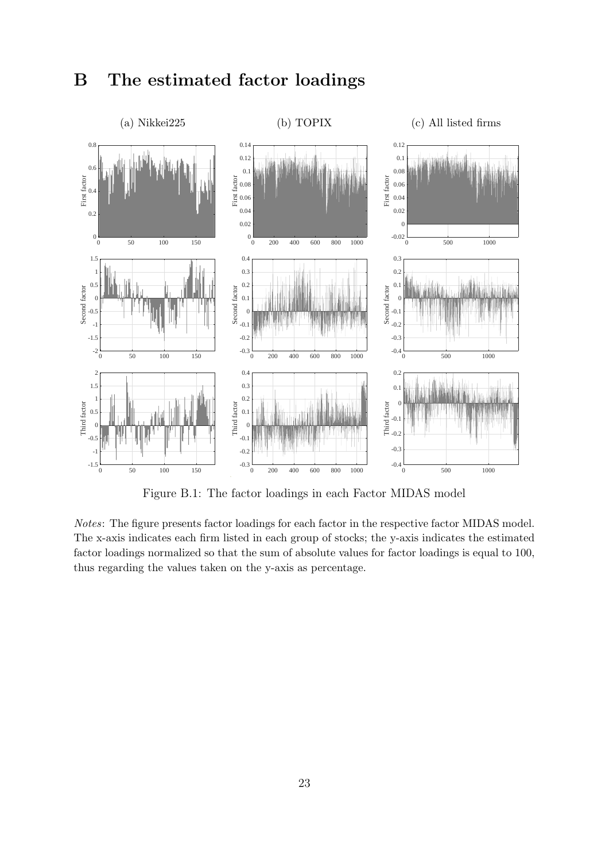# <span id="page-23-1"></span>**B The estimated factor loadings**

<span id="page-23-0"></span>

Figure B.1: The factor loadings in each Factor MIDAS model

*Notes*: The figure presents factor loadings for each factor in the respective factor MIDAS model. The x-axis indicates each firm listed in each group of stocks; the y-axis indicates the estimated factor loadings normalized so that the sum of absolute values for factor loadings is equal to 100, thus regarding the values taken on the y-axis as percentage.